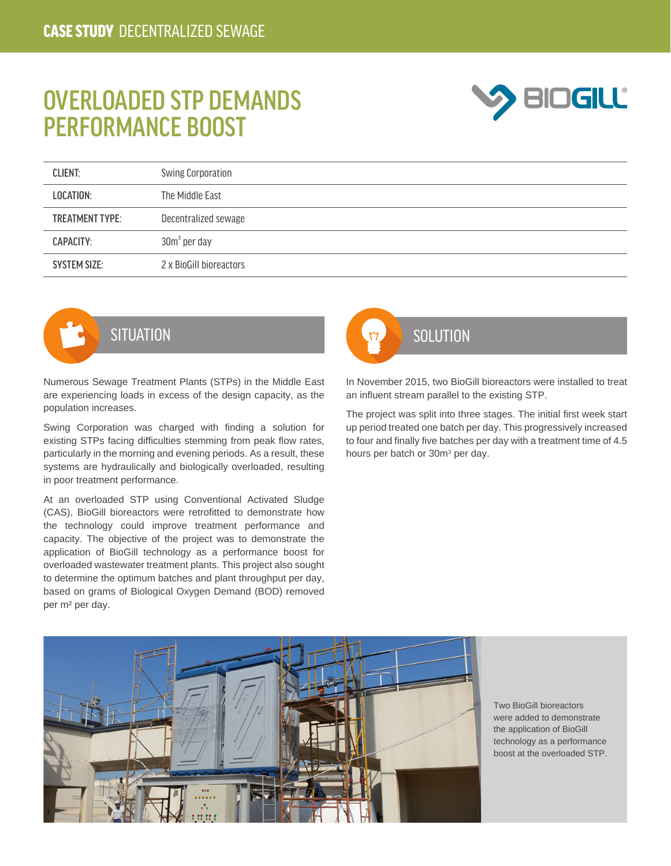## OVERLOADED STP DEMANDS PERFORMANCE BOOST



| <b>CLIENT:</b>         | <b>Swing Corporation</b> |
|------------------------|--------------------------|
| LOCATION:              | The Middle East          |
| <b>TREATMENT TYPE:</b> | Decentralized sewage     |
| CAPACITY:              | $30m3$ per day           |
| <b>SYSTEM SIZE:</b>    | 2 x BioGill bioreactors  |



Numerous Sewage Treatment Plants (STPs) in the Middle East are experiencing loads in excess of the design capacity, as the population increases.

Swing Corporation was charged with finding a solution for existing STPs facing difficulties stemming from peak flow rates, particularly in the morning and evening periods. As a result, these systems are hydraulically and biologically overloaded, resulting in poor treatment performance.

At an overloaded STP using Conventional Activated Sludge (CAS), BioGill bioreactors were retrofitted to demonstrate how the technology could improve treatment performance and capacity. The objective of the project was to demonstrate the application of BioGill technology as a performance boost for overloaded wastewater treatment plants. This project also sought to determine the optimum batches and plant throughput per day, based on grams of Biological Oxygen Demand (BOD) removed per m² per day.



In November 2015, two BioGill bioreactors were installed to treat an influent stream parallel to the existing STP.

The project was split into three stages. The initial first week start up period treated one batch per day. This progressively increased to four and finally five batches per day with a treatment time of 4.5 hours per batch or 30m<sup>3</sup> per day.



Two BioGill bioreactors were added to demonstrate the application of BioGill technology as a performance boost at the overloaded STP.